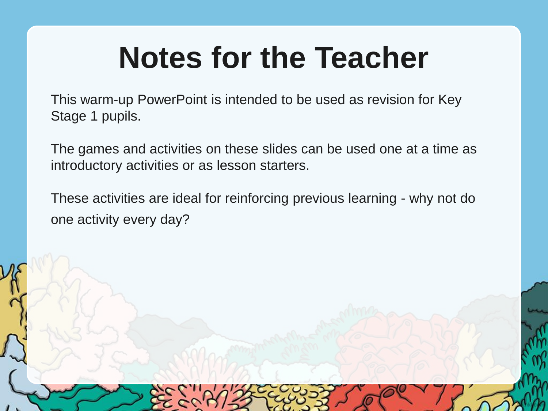## **Notes for the Teacher**

This warm-up PowerPoint is intended to be used as revision for Key Stage 1 pupils.

The games and activities on these slides can be used one at a time as introductory activities or as lesson starters.

These activities are ideal for reinforcing previous learning - why not do one activity every day?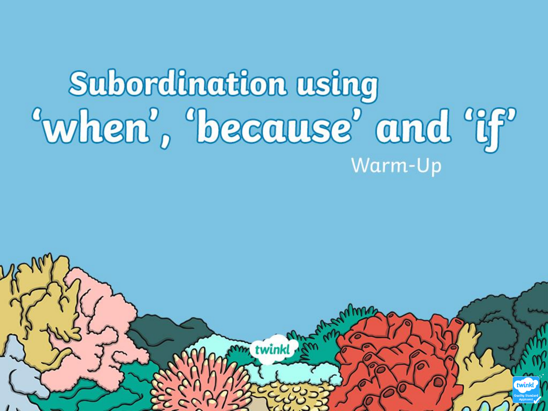## Subordination using "when", "because" and "if" Warm-Up

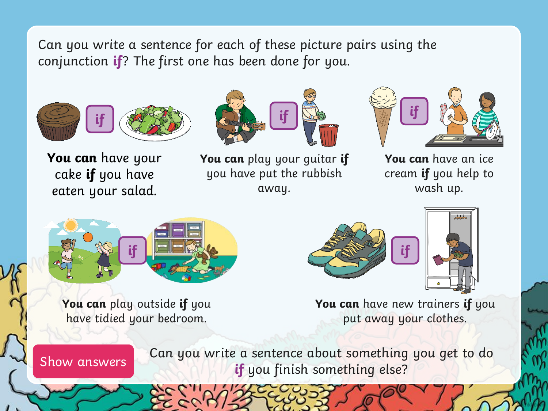Can you write a sentence for each of these picture pairs using the conjunction **if**? The first one has been done for you.



**You can** have your cake **if** you have eaten your salad.







**You can** have an ice cream **if** you help to wash up.



**You can** play outside **if** you have tidied your bedroom.





**You can** have new trainers **if** you put away your clothes.

Show answers

Can you write a sentence about something you get to do **if** you finish something else?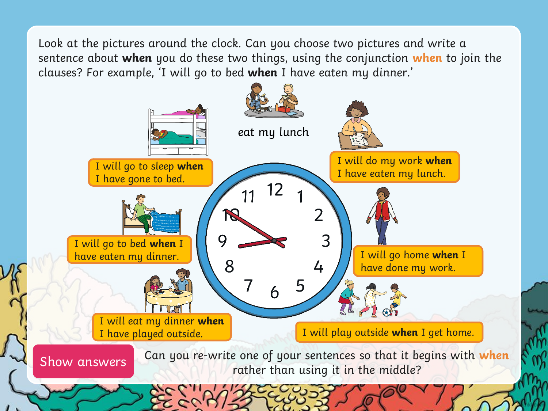Look at the pictures around the clock. Can you choose two pictures and write a sentence about **when** you do these two things, using the conjunction **when** to join the clauses? For example, 'I will go to bed **when** I have eaten my dinner.'

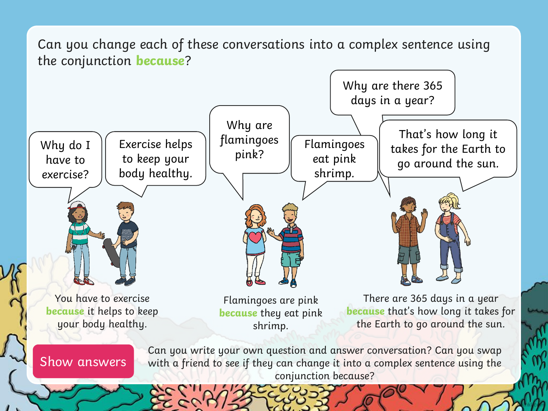Can you change each of these conversations into a complex sentence using the conjunction **because**?

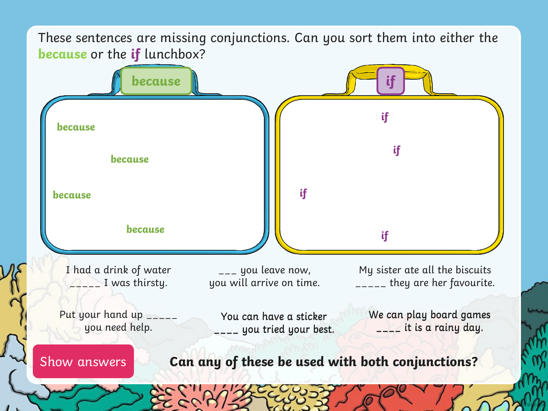These sentences are missing conjunctions. Can you sort them into either the **because** or the **if** lunchbox?

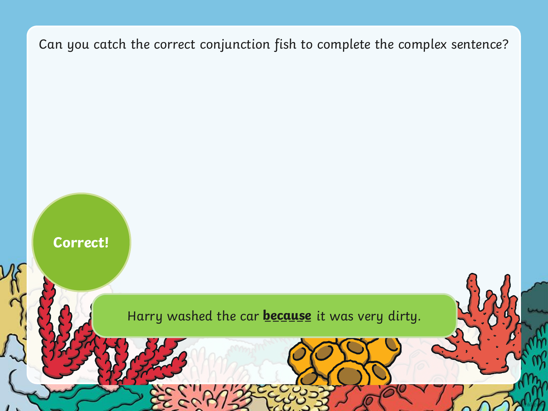Harry washed the car **because** it was very dirty.

**Correct!**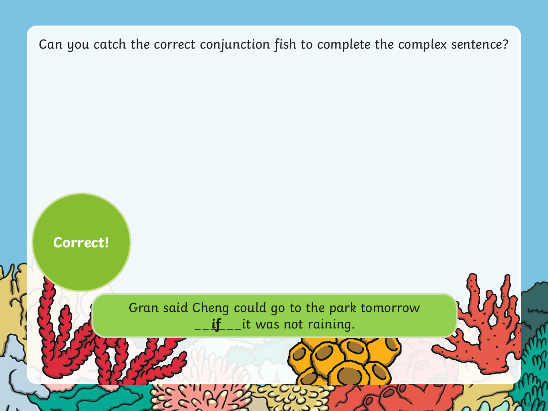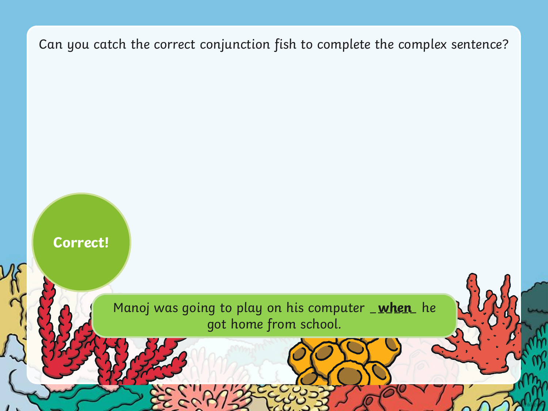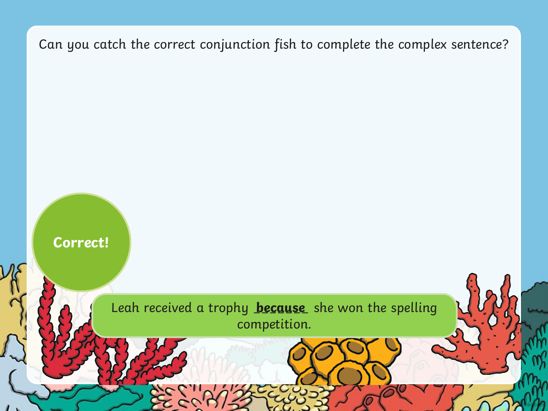

**Correct!**